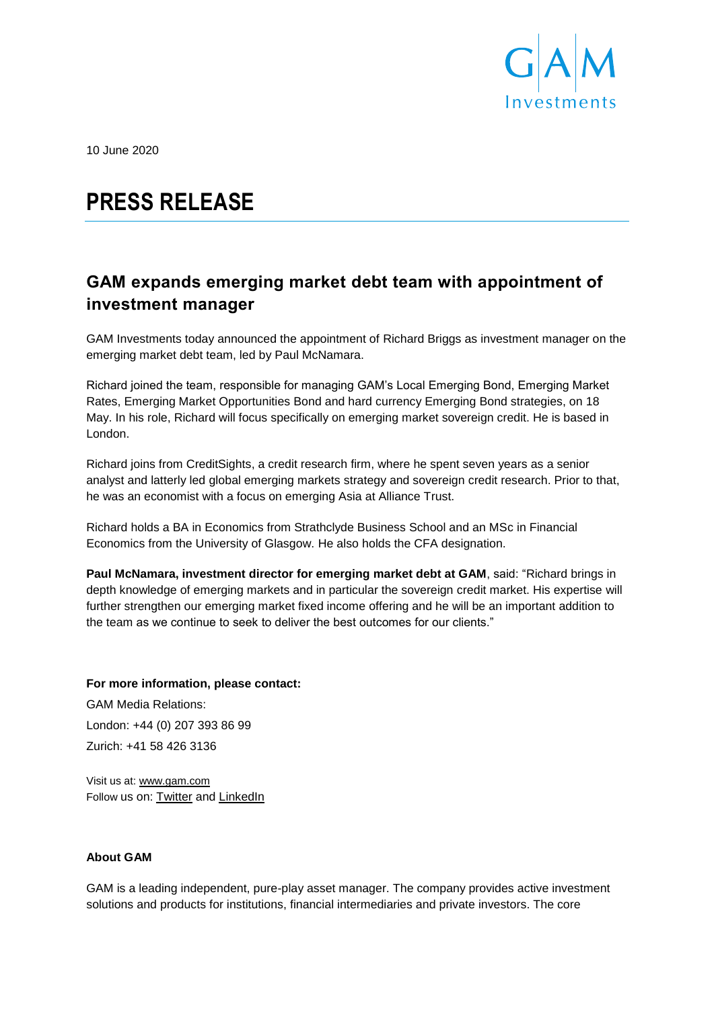

10 June 2020

# **PRESS RELEASE**

# **GAM expands emerging market debt team with appointment of investment manager**

GAM Investments today announced the appointment of Richard Briggs as investment manager on the emerging market debt team, led by Paul McNamara.

Richard joined the team, responsible for managing GAM's Local Emerging Bond, Emerging Market Rates, Emerging Market Opportunities Bond and hard currency Emerging Bond strategies, on 18 May. In his role, Richard will focus specifically on emerging market sovereign credit. He is based in London.

Richard joins from CreditSights, a credit research firm, where he spent seven years as a senior analyst and latterly led global emerging markets strategy and sovereign credit research. Prior to that, he was an economist with a focus on emerging Asia at Alliance Trust.

Richard holds a BA in Economics from Strathclyde Business School and an MSc in Financial Economics from the University of Glasgow. He also holds the CFA designation.

**Paul McNamara, investment director for emerging market debt at GAM**, said: "Richard brings in depth knowledge of emerging markets and in particular the sovereign credit market. His expertise will further strengthen our emerging market fixed income offering and he will be an important addition to the team as we continue to seek to deliver the best outcomes for our clients."

## **For more information, please contact:**

GAM Media Relations: London: +44 (0) 207 393 86 99 Zurich: +41 58 426 3136

Visit us at: [www.gam.com](http://www.gam.com/) Follow us on: [Twitter](https://twitter.com/gaminsights) and [LinkedIn](https://www.linkedin.com/company/gam?trk=company_logo)

### **About GAM**

GAM is a leading independent, pure-play asset manager. The company provides active investment solutions and products for institutions, financial intermediaries and private investors. The core